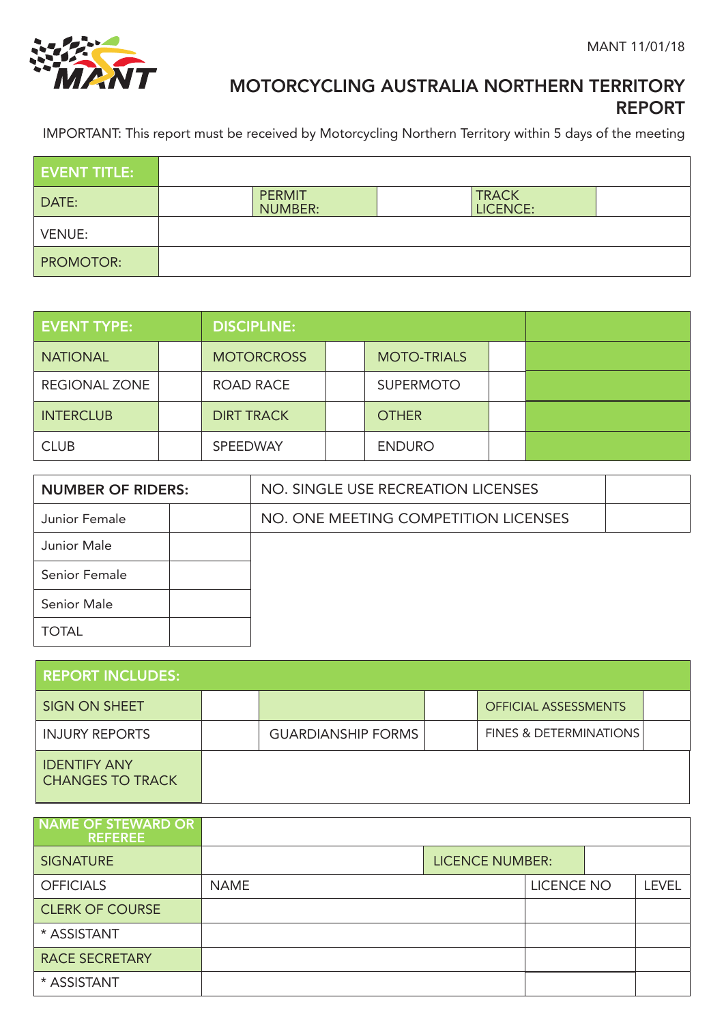

# MOTORCYCLING AUSTRALIA NORTHERN TERRITORY REPORT

IMPORTANT: This report must be received by Motorcycling Northern Territory within 5 days of the meeting

| <b>EVENT TITLE:</b> |                                 |                          |  |
|---------------------|---------------------------------|--------------------------|--|
| DATE:               | <b>PERMIT</b><br><b>NUMBER:</b> | <b>TRACK</b><br>LICENCE: |  |
| <b>VENUE:</b>       |                                 |                          |  |
| <b>PROMOTOR:</b>    |                                 |                          |  |

| <b>EVENT TYPE:</b>   |  | <b>DISCIPLINE:</b> |  |                    |  |  |
|----------------------|--|--------------------|--|--------------------|--|--|
| <b>NATIONAL</b>      |  | <b>MOTORCROSS</b>  |  | <b>MOTO-TRIALS</b> |  |  |
| <b>REGIONAL ZONE</b> |  | ROAD RACE          |  | <b>SUPERMOTO</b>   |  |  |
| <b>INTERCLUB</b>     |  | <b>DIRT TRACK</b>  |  | <b>OTHER</b>       |  |  |
| <b>CLUB</b>          |  | SPEEDWAY           |  | <b>ENDURO</b>      |  |  |

| <b>NUMBER OF RIDERS:</b> |  | NO. SINGLE USE RECREATION LICENSES   |  |
|--------------------------|--|--------------------------------------|--|
| Junior Female            |  | NO. ONE MEETING COMPETITION LICENSES |  |
| Junior Male              |  |                                      |  |
| Senior Female            |  |                                      |  |
| Senior Male              |  |                                      |  |
| <b>TOTAL</b>             |  |                                      |  |

| <b>REPORT INCLUDES:</b>                        |                           |                                   |  |
|------------------------------------------------|---------------------------|-----------------------------------|--|
| <b>SIGN ON SHEET</b>                           |                           | <b>OFFICIAL ASSESSMENTS</b>       |  |
| <b>INJURY REPORTS</b>                          | <b>GUARDIANSHIP FORMS</b> | <b>FINES &amp; DETERMINATIONS</b> |  |
| <b>IDENTIFY ANY</b><br><b>CHANGES TO TRACK</b> |                           |                                   |  |

| NAME OF STEWARD OR<br><b>REFEREE</b> |             |                        |                   |              |
|--------------------------------------|-------------|------------------------|-------------------|--------------|
| <b>SIGNATURE</b>                     |             | <b>LICENCE NUMBER:</b> |                   |              |
| <b>OFFICIALS</b>                     | <b>NAME</b> |                        | <b>LICENCE NO</b> | <b>LEVEL</b> |
| <b>CLERK OF COURSE</b>               |             |                        |                   |              |
| * ASSISTANT                          |             |                        |                   |              |
| <b>RACE SECRETARY</b>                |             |                        |                   |              |
| * ASSISTANT                          |             |                        |                   |              |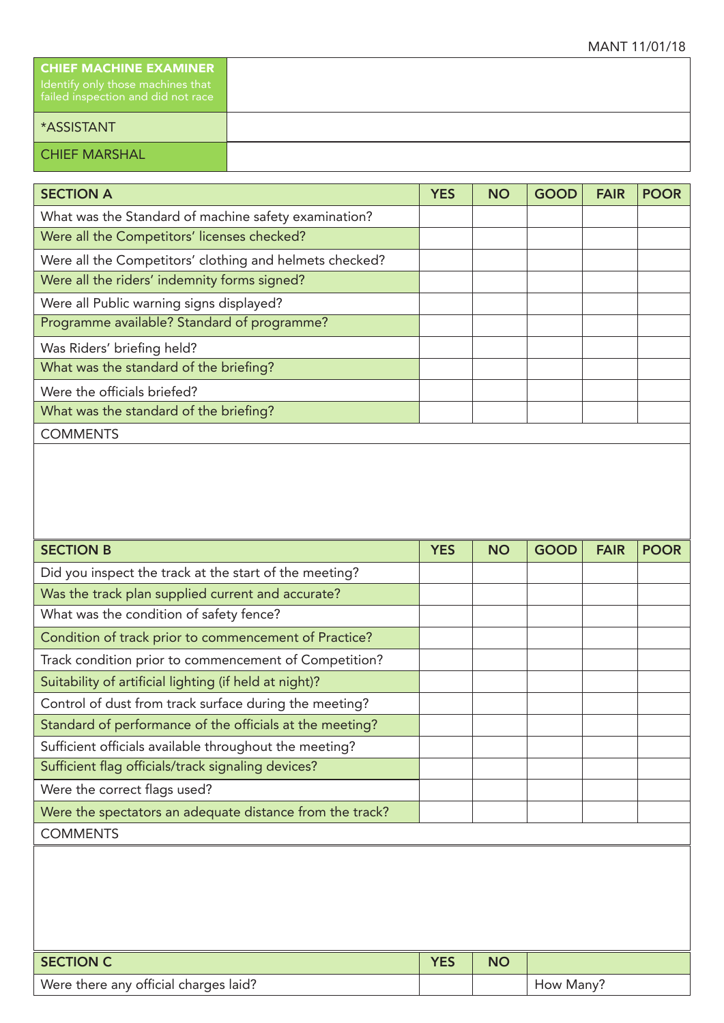| <b>CHIEF MACHINE EXAMINER</b><br>I Identify only those machines that<br>failed inspection and did not race |
|------------------------------------------------------------------------------------------------------------|
| <b>*ASSISTANT</b>                                                                                          |
| <b>CHIEF MARSHAL</b>                                                                                       |

| <b>SECTION A</b>                                        | <b>YES</b> | <b>NO</b> | <b>GOOD</b> | <b>FAIR</b> | <b>POOR</b> |
|---------------------------------------------------------|------------|-----------|-------------|-------------|-------------|
| What was the Standard of machine safety examination?    |            |           |             |             |             |
| Were all the Competitors' licenses checked?             |            |           |             |             |             |
| Were all the Competitors' clothing and helmets checked? |            |           |             |             |             |
| Were all the riders' indemnity forms signed?            |            |           |             |             |             |
| Were all Public warning signs displayed?                |            |           |             |             |             |
| Programme available? Standard of programme?             |            |           |             |             |             |
| Was Riders' briefing held?                              |            |           |             |             |             |
| What was the standard of the briefing?                  |            |           |             |             |             |
| Were the officials briefed?                             |            |           |             |             |             |
| What was the standard of the briefing?                  |            |           |             |             |             |
| <b>COMMENTS</b>                                         |            |           |             |             |             |

| <b>YES</b> | <b>NO</b> | <b>GOOD</b> | <b>FAIR</b> | <b>POOR</b> |
|------------|-----------|-------------|-------------|-------------|
|            |           |             |             |             |
|            |           |             |             |             |
|            |           |             |             |             |
|            |           |             |             |             |
|            |           |             |             |             |
|            |           |             |             |             |
|            |           |             |             |             |
|            |           |             |             |             |
|            |           |             |             |             |
|            |           |             |             |             |
|            |           |             |             |             |
|            |           |             |             |             |
|            |           |             |             |             |
|            |           |             |             |             |
|            |           |             |             |             |
|            |           |             |             |             |
|            |           |             |             |             |
|            |           |             |             |             |

| SECTION C                             | <b>VEC</b> | NC |           |
|---------------------------------------|------------|----|-----------|
| Were there any official charges laid? |            |    | How Many? |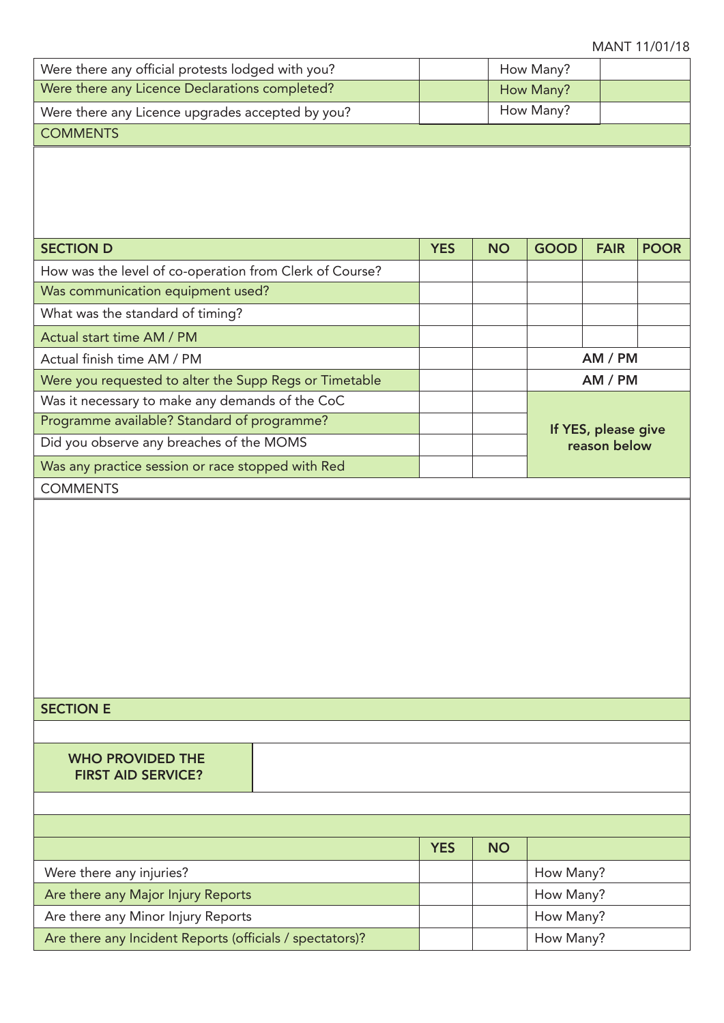#### MANT 11/01/18

AM / PM AM / PM

If YES, please give reason below

| Were there any official protests lodged with you? |            |           | How Many?   |             |      |
|---------------------------------------------------|------------|-----------|-------------|-------------|------|
| Were there any Licence Declarations completed?    |            |           | How Many?   |             |      |
| Were there any Licence upgrades accepted by you?  |            |           | How Many?   |             |      |
| <b>COMMENTS</b>                                   |            |           |             |             |      |
|                                                   |            |           |             |             |      |
|                                                   |            |           |             |             |      |
|                                                   |            |           |             |             |      |
|                                                   |            |           |             |             |      |
| <b>SECTION D</b>                                  | <b>YES</b> | <b>NO</b> | <b>GOOD</b> | <b>FAIR</b> | POOR |

How was the level of co-operation from Clerk of Course?

Were you requested to alter the Supp Regs or Timetable

Was it necessary to make any demands of the CoC Programme available? Standard of programme?

Was any practice session or race stopped with Red

Did you observe any breaches of the MOMS

Was communication equipment used?

What was the standard of timing?

Actual start time AM / PM Actual finish time AM / PM

**COMMENTS** 

#### WHO PROVIDED THE FIRST AID SERVICE?

|                                                          | <b>YES</b> | <b>NO</b> |           |
|----------------------------------------------------------|------------|-----------|-----------|
| Were there any injuries?                                 |            |           | How Many? |
| Are there any Major Injury Reports                       |            |           | How Many? |
| Are there any Minor Injury Reports                       |            |           | How Many? |
| Are there any Incident Reports (officials / spectators)? |            |           | How Many? |